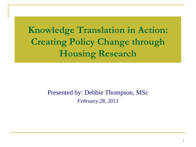**Knowledge Translation in Action: Creating Policy Change through Housing Research**

#### Presented by: Debbie Thompson, MSc *February 28, 2013*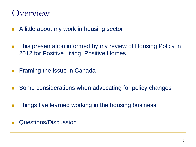#### verview

- **A little about my work in housing sector**
- **This presentation informed by my review of Housing Policy in** 2012 for Positive Living, Positive Homes
- **Filter Framing the issue in Canada**
- Some considerations when advocating for policy changes
- **Things I've learned working in the housing business**
- Questions/Discussion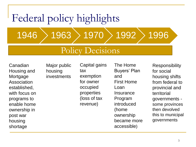# Federal policy highlights  $1946$   $\rightarrow$  1963  $\rightarrow$  1970  $\rightarrow$  1992  $\rightarrow$  1996

#### Policy Decisions

Canadian Housing and **Mortgage** Association established, with focus on programs to enable home ownership in post war housing shortage

Major public housing investments

Capital gains tax exemption for owner occupied properties (loss of tax revenue)

The Home Buyers' Plan and First Home Loan **Insurance** Program introduced (home ownership became more accessible)

Responsibility for social housing shifts from federal to provincial and territorial governments some provinces then devolved this to municipal governments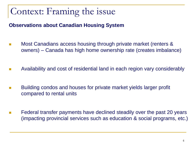# Context: Framing the issue

**Observations about Canadian Housing System**

- Most Canadians access housing through private market (renters & owners) – Canada has high home ownership rate (creates imbalance)
- Availability and cost of residential land in each region vary considerably
- Building condos and houses for private market yields larger profit compared to rental units
- Federal transfer payments have declined steadily over the past 20 years (impacting provincial services such as education & social programs, etc.)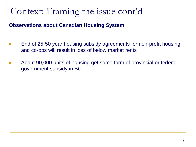**Observations about Canadian Housing System**

- End of 25-50 year housing subsidy agreements for non-profit housing and co-ops will result in loss of below market rents
- About 90,000 units of housing get some form of provincial or federal government subsidy in BC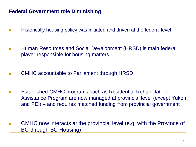#### **Federal Government role Diminishing:**

- Historically housing policy was initiated and driven at the federal level
- **Human Resources and Social Development (HRSD) is main federal** player responsible for housing matters
- CMHC accountable to Parliament through HRSD
- **E** Established CMHC programs such as Residential Rehabilitation Assistance Program are now managed at provincial level (except Yukon and PEI) – and requires matched funding from provincial government
- CMHC now interacts at the provincial level (e.g. with the Province of BC through BC Housing)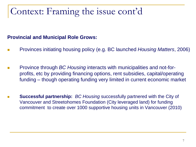#### **Provincial and Municipal Role Grows:**

- Provinces initiating housing policy (e.g. BC launched *Housing Matters*, 2006)
- Province through *BC Housing* interacts with municipalities and not-forprofits, etc by providing financing options, rent subsidies, capital/operating funding – though operating funding very limited in current economic market
- **Successful partnership:** *BC Housing* successfully partnered with the City of Vancouver and Streetohomes Foundation (City leveraged land) for funding commitment to create over 1000 supportive housing units in Vancouver (2010)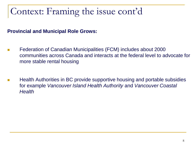#### **Provincial and Municipal Role Grows:**

- Federation of Canadian Municipalities (FCM) includes about 2000 communities across Canada and interacts at the federal level to advocate for more stable rental housing
- Health Authorities in BC provide supportive housing and portable subsidies for example *Vancouver Island Health Authority* and *Vancouver Coastal Health*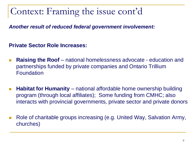*Another result of reduced federal government involvement:* 

**Private Sector Role Increases:**

- **Raising the Roof** national homelessness advocate education and partnerships funded by private companies and Ontario Trillium Foundation
- **Habitat for Humanity** national affordable home ownership building program (through local affiliates); Some funding from CMHC; also interacts with provincial governments, private sector and private donors
- Role of charitable groups increasing (e.g. United Way, Salvation Army, churches)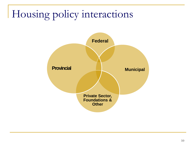# Housing policy interactions

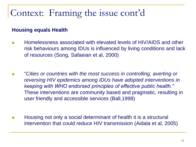#### **Housing equals Health**

- Homelessness associated with elevated levels of HIV/AIDS and other risk behaviours among IDUs is influenced by living conditions and lack of resources (Song, Safaeian et al, 2000)
- $\Box$ "*Cities or countries with the most success in controlling, averting or reversing HIV epidemics among IDUs have adopted interventions in keeping with WHO endorsed principles of effective public health."*  These interventions are community based and pragmatic, resulting in user friendly and accessible services (Ball,1998)
- Housing not only a social determinant of health it is a structural intervention that could reduce HIV transmission (Aidala et al, 2005)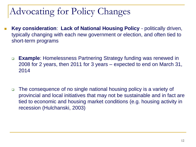# Advocating for Policy Changes

- **Key consideration**: **Lack of National Housing Policy**  politically driven, typically changing with each new government or election, and often tied to short-term programs
	- **Example**: Homelessness Partnering Strategy funding was renewed in 2008 for 2 years, then 2011 for 3 years – expected to end on March 31, 2014
	- □ The consequence of no single national housing policy is a variety of provincial and local initiatives that may not be sustainable and in fact are tied to economic and housing market conditions (e.g. housing activity in recession (Hulchanski, 2003)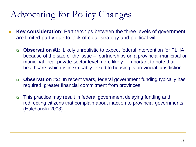# Advocating for Policy Changes

- **Key consideration**: Partnerships between the three levels of government are limited partly due to lack of clear strategy and political will
	- **Observation #1**: Likely unrealistic to expect federal intervention for PLHA because of the size of the issue – partnerships on a provincial-municipal or municipal-local-private sector level more likely – important to note that healthcare, which is inextricably linked to housing is provincial jurisdiction
	- **Observation #2**: In recent years, federal government funding typically has required greater financial commitment from provinces
	- □ This practice may result in federal government delaying funding and redirecting citizens that complain about inaction to provincial governments (Hulchanski 2003)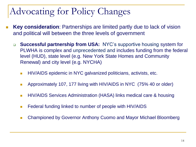# Advocating for Policy Changes

- **Key consideration**: Partnerships are limited partly due to lack of vision and political will between the three levels of government
	- **Successful partnership from USA:** NYC's supportive housing system for PLWHA is complex and unprecedented and includes funding from the federal level (HUD), state level (e.g. New York State Homes and Community Renewal) and city level (e.g. NYCHA)
		- **HIV/AIDS** epidemic in NYC galvanized politicians, activists, etc.
		- **Approximately 107, 177 living with HIV/AIDS in NYC (75% 40 or older)**
		- **HIV/AIDS Services Administration (HASA) links medical care & housing**
		- **Federal funding linked to number of people with HIV/AIDS**
		- Championed by Governor Anthony Cuomo and Mayor Michael Bloomberg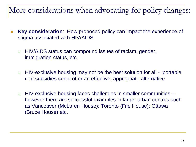#### More considerations when advocating for policy changes:

- **Key consideration**: How proposed policy can impact the experience of stigma associated with HIV/AIDS
	- □ HIV/AIDS status can compound issues of racism, gender, immigration status, etc.
	- □ HIV-exclusive housing may not be the best solution for all portable rent subsidies could offer an effective, appropriate alternative
	- □ HIV-exclusive housing faces challenges in smaller communities however there are successful examples in larger urban centres such as Vancouver (McLaren House); Toronto (Fife House); Ottawa (Bruce House) etc.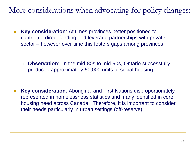More considerations when advocating for policy changes:

- **Key consideration**: At times provinces better positioned to contribute direct funding and leverage partnerships with private sector – however over time this fosters gaps among provinces
	- **Observation**: In the mid-80s to mid-90s, Ontario successfully produced approximately 50,000 units of social housing

**Key consideration**: Aboriginal and First Nations disproportionately represented in homelessness statistics and many identified in core housing need across Canada. Therefore, it is important to consider their needs particularly in urban settings (off-reserve)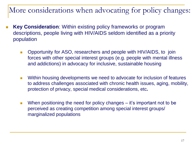#### More considerations when advocating for policy changes:

- **Key Consideration**: Within existing policy frameworks or program descriptions, people living with HIV/AIDS seldom identified as a priority population
	- **Deportunity for ASO, researchers and people with HIV/AIDS, to join** forces with other special interest groups (e.g. people with mental illness and addictions) in advocacy for inclusive, sustainable housing
	- Within housing developments we need to advocate for inclusion of features to address challenges associated with chronic health issues, aging, mobility, protection of privacy, special medical considerations, etc**.**
	- When positioning the need for policy changes  $-$  it's important not to be perceived as creating competition among special interest groups/ marginalized populations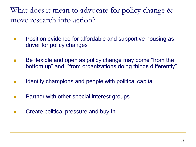What does it mean to advocate for policy change & move research into action?

- Position evidence for affordable and supportive housing as driver for policy changes
- Be flexible and open as policy change may come "from the bottom up" and "from organizations doing things differently"
- $\blacksquare$  Identify champions and people with political capital
- **Partner with other special interest groups**
- **EXECT** Create political pressure and buy-in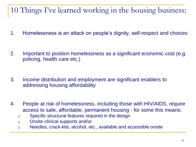#### 10 Things I've learned working in the housing business:

- 1. Homelessness is an attack on people's dignity, self-respect and choices
- 2. Important to position homelessness as a significant economic cost (e.g. policing, health care etc.)
- 3. Income distribution and employment are significant enablers to addressing housing affordability
- 4. People at risk of homelessness, including those with HIV/AIDS, require access to safe, affordable, permanent housing - for some this means:
	- **Specific structural features required in the design**
	- Onsite clinical supports and/or
	- Needles, crack-kits, alcohol, etc., available and accessible onsite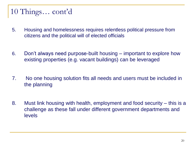#### 10 Things… cont'd

- 5. Housing and homelessness requires relentless political pressure from citizens and the political will of elected officials
- 6. Don't always need purpose-built housing important to explore how existing properties (e.g. vacant buildings) can be leveraged
- 7. No one housing solution fits all needs and users must be included in the planning
- 8. Must link housing with health, employment and food security this is a challenge as these fall under different government departments and levels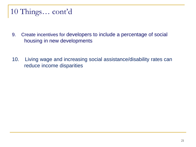#### 10 Things… cont'd

- 9. Create incentives for developers to include a percentage of social housing in new developments
- 10. Living wage and increasing social assistance/disability rates can reduce income disparities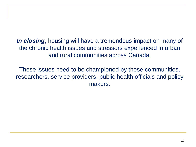*In closing*, housing will have a tremendous impact on many of the chronic health issues and stressors experienced in urban and rural communities across Canada.

These issues need to be championed by those communities, researchers, service providers, public health officials and policy makers.